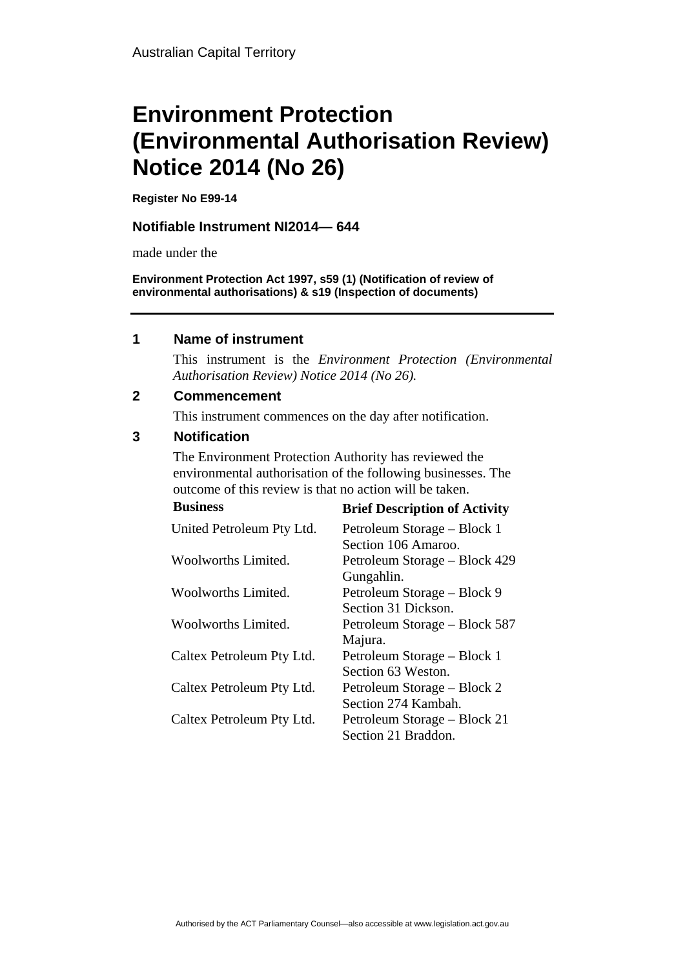# **Environment Protection (Environmental Authorisation Review) Notice 2014 (No 26)**

**Register No E99-14**

## **Notifiable Instrument NI2014— 644**

made under the

**Environment Protection Act 1997, s59 (1) (Notification of review of environmental authorisations) & s19 (Inspection of documents)**

### **1 Name of instrument**

This instrument is the *Environment Protection (Environmental Authorisation Review) Notice 2014 (No 26).* 

### **2 Commencement**

This instrument commences on the day after notification.

### **3 Notification**

The Environment Protection Authority has reviewed the environmental authorisation of the following businesses. The outcome of this review is that no action will be taken.

| <b>Business</b>           | <b>Brief Description of Activity</b> |
|---------------------------|--------------------------------------|
| United Petroleum Pty Ltd. | Petroleum Storage – Block 1          |
|                           | Section 106 Amaroo.                  |
| Woolworths Limited.       | Petroleum Storage – Block 429        |
|                           | Gungahlin.                           |
| Woolworths Limited.       | Petroleum Storage – Block 9          |
|                           | Section 31 Dickson.                  |
| Woolworths Limited.       | Petroleum Storage – Block 587        |
|                           | Majura.                              |
| Caltex Petroleum Pty Ltd. | Petroleum Storage – Block 1          |
|                           | Section 63 Weston.                   |
| Caltex Petroleum Pty Ltd. | Petroleum Storage – Block 2          |
|                           | Section 274 Kambah.                  |
| Caltex Petroleum Pty Ltd. | Petroleum Storage – Block 21         |
|                           | Section 21 Braddon.                  |